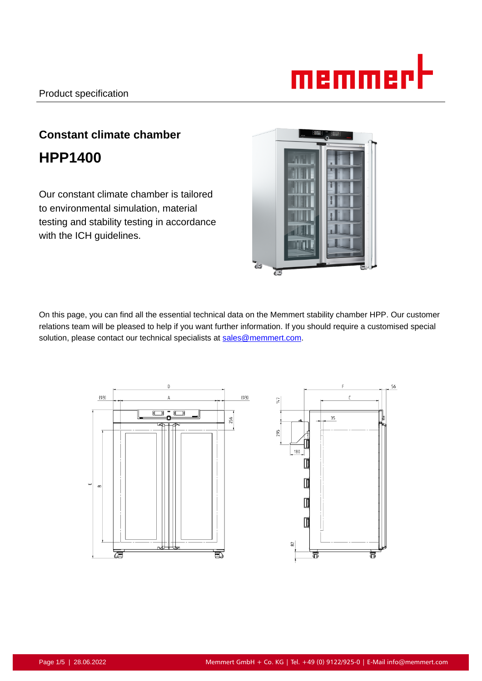

# **Constant climate chamber HPP1400**

Our constant climate chamber is tailored to environmental simulation, material testing and stability testing in accordance with the ICH guidelines.



On this page, you can find all the essential technical data on the Memmert stability chamber HPP. Our customer relations team will be pleased to help if you want further information. If you should require a customised special solution, please contact our technical specialists at sales@memmert.com.

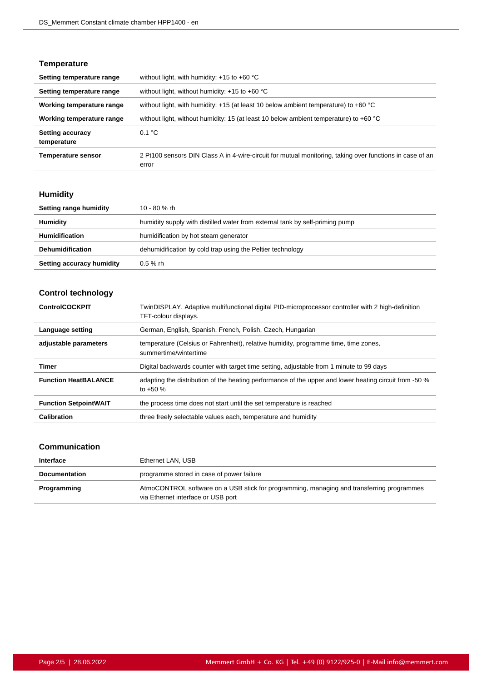# **Temperature**

| Setting temperature range              | without light, with humidity: $+15$ to $+60$ °C                                                                   |
|----------------------------------------|-------------------------------------------------------------------------------------------------------------------|
| Setting temperature range              | without light, without humidity: $+15$ to $+60$ °C                                                                |
| Working temperature range              | without light, with humidity: $+15$ (at least 10 below ambient temperature) to $+60$ °C                           |
| Working temperature range              | without light, without humidity: 15 (at least 10 below ambient temperature) to +60 °C                             |
| <b>Setting accuracy</b><br>temperature | 0.1 °C                                                                                                            |
| <b>Temperature sensor</b>              | 2 Pt100 sensors DIN Class A in 4-wire-circuit for mutual monitoring, taking over functions in case of an<br>error |

# **Humidity**

| Setting range humidity    | 10 - 80 % rh                                                                 |
|---------------------------|------------------------------------------------------------------------------|
| Humidity                  | humidity supply with distilled water from external tank by self-priming pump |
| <b>Humidification</b>     | humidification by hot steam generator                                        |
| <b>Dehumidification</b>   | dehumidification by cold trap using the Peltier technology                   |
| Setting accuracy humidity | $0.5 \%$ rh                                                                  |

# **Control technology**

| <b>ControlCOCKPIT</b>        | TwinDISPLAY. Adaptive multifunctional digital PID-microprocessor controller with 2 high-definition<br>TFT-colour displays. |
|------------------------------|----------------------------------------------------------------------------------------------------------------------------|
| Language setting             | German, English, Spanish, French, Polish, Czech, Hungarian                                                                 |
| adjustable parameters        | temperature (Celsius or Fahrenheit), relative humidity, programme time, time zones,<br>summertime/wintertime               |
| Timer                        | Digital backwards counter with target time setting, adjustable from 1 minute to 99 days                                    |
| <b>Function HeatBALANCE</b>  | adapting the distribution of the heating performance of the upper and lower heating circuit from -50 %<br>to $+50%$        |
| <b>Function SetpointWAIT</b> | the process time does not start until the set temperature is reached                                                       |
| Calibration                  | three freely selectable values each, temperature and humidity                                                              |

# **Communication**

| Interface            | Ethernet LAN, USB                                                                                                               |
|----------------------|---------------------------------------------------------------------------------------------------------------------------------|
| <b>Documentation</b> | programme stored in case of power failure                                                                                       |
| Programming          | AtmoCONTROL software on a USB stick for programming, managing and transferring programmes<br>via Ethernet interface or USB port |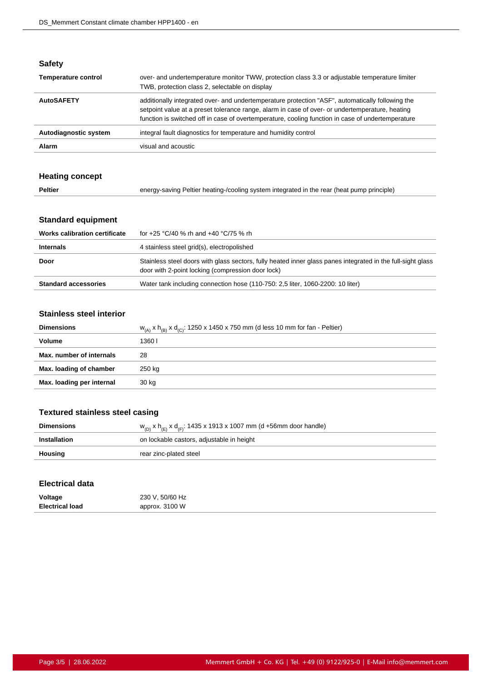| ×<br>٠<br>÷<br>۰, |
|-------------------|
|-------------------|

| <b>Temperature control</b> | over- and undertemperature monitor TWW, protection class 3.3 or adjustable temperature limiter<br>TWB, protection class 2, selectable on display                                                                                                                                                         |
|----------------------------|----------------------------------------------------------------------------------------------------------------------------------------------------------------------------------------------------------------------------------------------------------------------------------------------------------|
| <b>AutoSAFETY</b>          | additionally integrated over- and undertemperature protection "ASF", automatically following the<br>setpoint value at a preset tolerance range, alarm in case of over- or undertemperature, heating<br>function is switched off in case of overtemperature, cooling function in case of undertemperature |
| Autodiagnostic system      | integral fault diagnostics for temperature and humidity control                                                                                                                                                                                                                                          |
| Alarm                      | visual and acoustic                                                                                                                                                                                                                                                                                      |

# **Heating concept**

| <b>Peltier</b><br>energy-saving Peltier heating-/cooling system integrated in the rear (heat pump principle) |  |
|--------------------------------------------------------------------------------------------------------------|--|
|--------------------------------------------------------------------------------------------------------------|--|

# **Standard equipment**

| <b>Works calibration certificate</b> | for +25 °C/40 % rh and +40 °C/75 % rh                                                                                                                            |
|--------------------------------------|------------------------------------------------------------------------------------------------------------------------------------------------------------------|
| <b>Internals</b>                     | 4 stainless steel grid(s), electropolished                                                                                                                       |
| Door                                 | Stainless steel doors with glass sectors, fully heated inner glass panes integrated in the full-sight glass<br>door with 2-point locking (compression door lock) |
| <b>Standard accessories</b>          | Water tank including connection hose (110-750: 2.5 liter, 1060-2200: 10 liter)                                                                                   |
|                                      |                                                                                                                                                                  |

#### **Stainless steel interior**

| <b>Dimensions</b>         | $W_{(A)}$ x $h_{(B)}$ x $d_{(C)}$ : 1250 x 1450 x 750 mm (d less 10 mm for fan - Peltier) |
|---------------------------|-------------------------------------------------------------------------------------------|
| Volume                    | 1360 I                                                                                    |
| Max. number of internals  | 28                                                                                        |
| Max. loading of chamber   | 250 kg                                                                                    |
| Max. loading per internal | 30 kg                                                                                     |

# **Textured stainless steel casing**

| <b>Dimensions</b> | $w_{(D)}$ x h <sub>(E)</sub> x d <sub>(F)</sub> : 1435 x 1913 x 1007 mm (d +56mm door handle) |
|-------------------|-----------------------------------------------------------------------------------------------|
| Installation      | on lockable castors, adjustable in height                                                     |
| Housing           | rear zinc-plated steel                                                                        |

#### **Electrical data**

| Voltage                | 230 V, 50/60 Hz |
|------------------------|-----------------|
| <b>Electrical load</b> | approx. 3100 W  |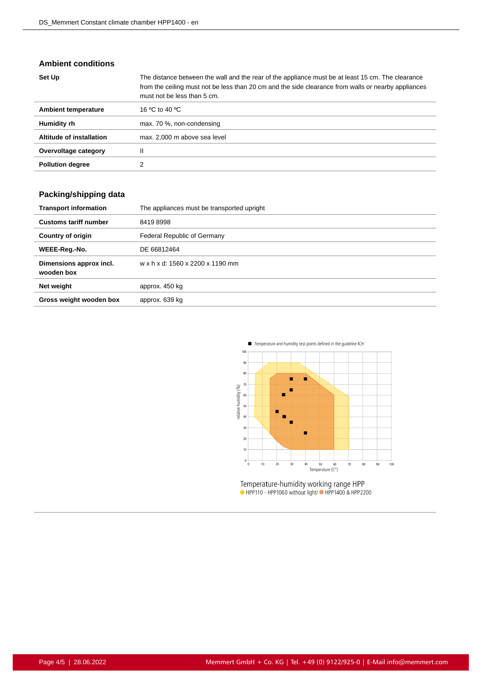### **Ambient conditions**

| Set Up                     | The distance between the wall and the rear of the appliance must be at least 15 cm. The clearance<br>from the ceiling must not be less than 20 cm and the side clearance from walls or nearby appliances<br>must not be less than 5 cm. |
|----------------------------|-----------------------------------------------------------------------------------------------------------------------------------------------------------------------------------------------------------------------------------------|
| <b>Ambient temperature</b> | 16 °C to 40 °C                                                                                                                                                                                                                          |
| Humidity rh                | max. 70 %, non-condensing                                                                                                                                                                                                               |
| Altitude of installation   | max. 2,000 m above sea level                                                                                                                                                                                                            |
| Overvoltage category       | Ш                                                                                                                                                                                                                                       |
| <b>Pollution degree</b>    |                                                                                                                                                                                                                                         |

# **Packing/shipping data**

| <b>Transport information</b>          | The appliances must be transported upright |
|---------------------------------------|--------------------------------------------|
| <b>Customs tariff number</b>          | 84198998                                   |
| <b>Country of origin</b>              | Federal Republic of Germany                |
| WEEE-Reg.-No.                         | DE 66812464                                |
| Dimensions approx incl.<br>wooden box | w x h x d: 1560 x 2200 x 1190 mm           |
| Net weight                            | approx. 450 kg                             |
| Gross weight wooden box               | approx. 639 kg                             |



Temperature-humidity working range HPP<br>• HPP110 - HPP1060 without light/• HPP1400 & HPP2200